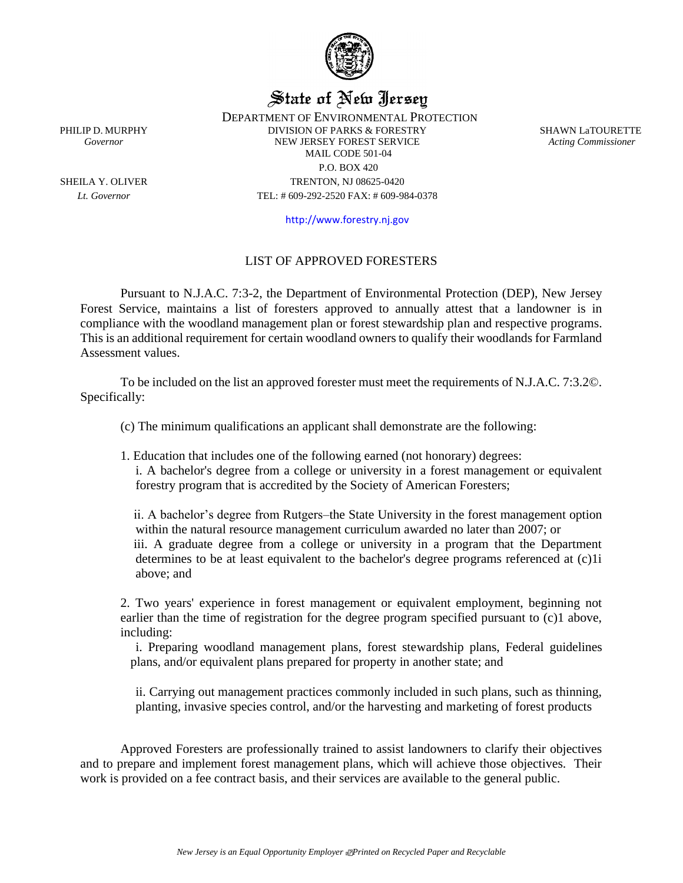

# State of New Jersey

DEPARTMENT OF ENVIRONMENTAL PROTECTION PHILIP D. MURPHY DIVISION OF PARKS & FORESTRY SHAWN LATOURETTE *Governor* NEW JERSEY FOREST SERVICE *Acting Commissioner* MAIL CODE 501-04 P.O. BOX 420 SHEILA Y. OLIVER TRENTON, NJ 08625-0420 *Lt. Governor* TEL: # 609-292-2520 FAX: # 609-984-0378

[http://www.forestry.nj.gov](http://www.forestry.nj.gov/)

## LIST OF APPROVED FORESTERS

Pursuant to N.J.A.C. 7:3-2, the Department of Environmental Protection (DEP), New Jersey Forest Service, maintains a list of foresters approved to annually attest that a landowner is in compliance with the woodland management plan or forest stewardship plan and respective programs. This is an additional requirement for certain woodland owners to qualify their woodlands for Farmland Assessment values.

To be included on the list an approved forester must meet the requirements of N.J.A.C. 7:3.2©. Specifically:

(c) The minimum qualifications an applicant shall demonstrate are the following:

1. Education that includes one of the following earned (not honorary) degrees:

i. A bachelor's degree from a college or university in a forest management or equivalent forestry program that is accredited by the Society of American Foresters;

ii. A bachelor's degree from Rutgers–the State University in the forest management option within the natural resource management curriculum awarded no later than 2007; or iii. A graduate degree from a college or university in a program that the Department determines to be at least equivalent to the bachelor's degree programs referenced at (c)1i above; and

2. Two years' experience in forest management or equivalent employment, beginning not earlier than the time of registration for the degree program specified pursuant to (c)1 above, including:

i. Preparing woodland management plans, forest stewardship plans, Federal guidelines plans, and/or equivalent plans prepared for property in another state; and

ii. Carrying out management practices commonly included in such plans, such as thinning, planting, invasive species control, and/or the harvesting and marketing of forest products

Approved Foresters are professionally trained to assist landowners to clarify their objectives and to prepare and implement forest management plans, which will achieve those objectives. Their work is provided on a fee contract basis, and their services are available to the general public.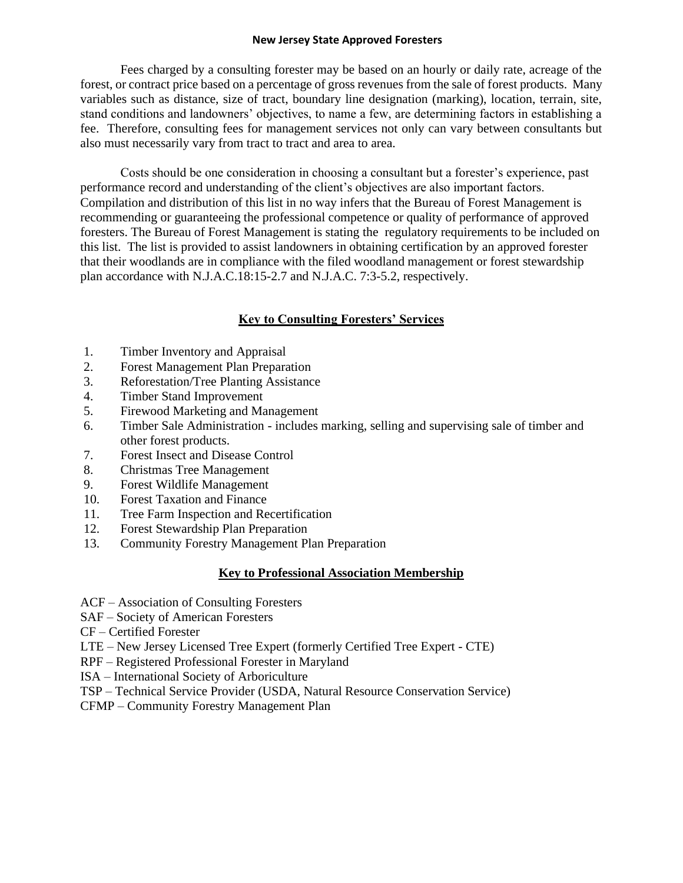#### **New Jersey State Approved Foresters**

Fees charged by a consulting forester may be based on an hourly or daily rate, acreage of the forest, or contract price based on a percentage of gross revenues from the sale of forest products. Many variables such as distance, size of tract, boundary line designation (marking), location, terrain, site, stand conditions and landowners' objectives, to name a few, are determining factors in establishing a fee. Therefore, consulting fees for management services not only can vary between consultants but also must necessarily vary from tract to tract and area to area.

Costs should be one consideration in choosing a consultant but a forester's experience, past performance record and understanding of the client's objectives are also important factors. Compilation and distribution of this list in no way infers that the Bureau of Forest Management is recommending or guaranteeing the professional competence or quality of performance of approved foresters. The Bureau of Forest Management is stating the regulatory requirements to be included on this list. The list is provided to assist landowners in obtaining certification by an approved forester that their woodlands are in compliance with the filed woodland management or forest stewardship plan accordance with N.J.A.C.18:15-2.7 and N.J.A.C. 7:3-5.2, respectively.

## **Key to Consulting Foresters' Services**

- 1. Timber Inventory and Appraisal
- 2. Forest Management Plan Preparation
- 3. Reforestation/Tree Planting Assistance
- 4. Timber Stand Improvement
- 5. Firewood Marketing and Management
- 6. Timber Sale Administration includes marking, selling and supervising sale of timber and other forest products.
- 7. Forest Insect and Disease Control
- 8. Christmas Tree Management
- 9. Forest Wildlife Management
- 10. Forest Taxation and Finance
- 11. Tree Farm Inspection and Recertification
- 12. Forest Stewardship Plan Preparation
- 13. Community Forestry Management Plan Preparation

#### **Key to Professional Association Membership**

- ACF Association of Consulting Foresters
- SAF Society of American Foresters
- CF Certified Forester
- LTE New Jersey Licensed Tree Expert (formerly Certified Tree Expert CTE)
- RPF Registered Professional Forester in Maryland
- ISA International Society of Arboriculture
- TSP Technical Service Provider (USDA, Natural Resource Conservation Service)
- CFMP Community Forestry Management Plan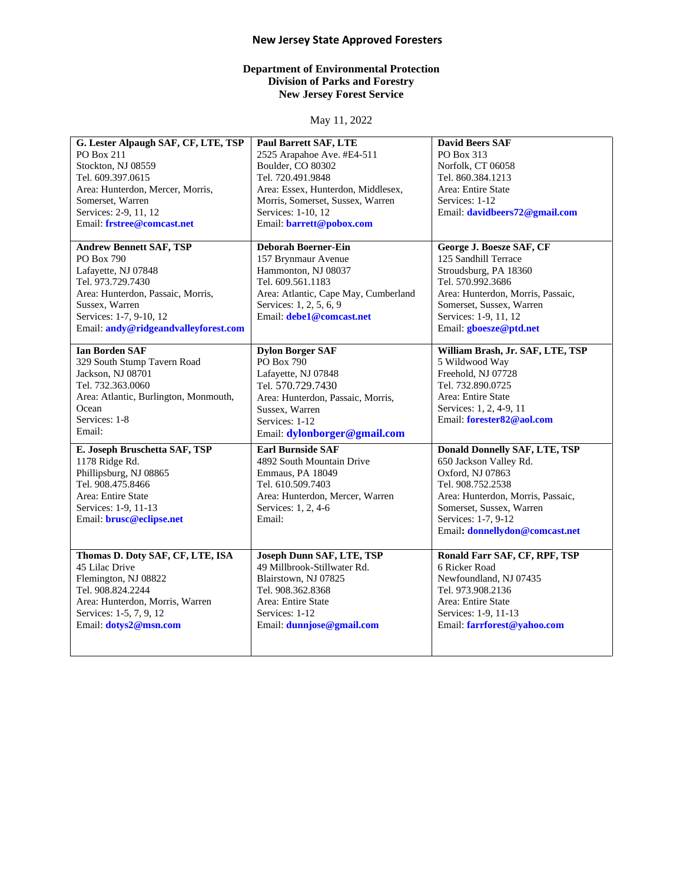## **New Jersey State Approved Foresters**

#### **Department of Environmental Protection Division of Parks and Forestry New Jersey Forest Service**

May 11, 2022

| G. Lester Alpaugh SAF, CF, LTE, TSP<br>PO Box 211<br>Stockton, NJ 08559<br>Tel. 609.397.0615<br>Area: Hunterdon, Mercer, Morris,<br>Somerset, Warren<br>Services: 2-9, 11, 12<br>Email: frstree@comcast.net        | <b>Paul Barrett SAF, LTE</b><br>2525 Arapahoe Ave. #E4-511<br>Boulder, CO 80302<br>Tel. 720.491.9848<br>Area: Essex, Hunterdon, Middlesex,<br>Morris, Somerset, Sussex, Warren<br>Services: 1-10, 12<br>Email: barrett@pobox.com | <b>David Beers SAF</b><br>PO Box 313<br>Norfolk, CT 06058<br>Tel. 860.384.1213<br>Area: Entire State<br>Services: 1-12<br>Email: davidbeers72@gmail.com                                                                           |
|--------------------------------------------------------------------------------------------------------------------------------------------------------------------------------------------------------------------|----------------------------------------------------------------------------------------------------------------------------------------------------------------------------------------------------------------------------------|-----------------------------------------------------------------------------------------------------------------------------------------------------------------------------------------------------------------------------------|
| <b>Andrew Bennett SAF, TSP</b><br>PO Box 790<br>Lafayette, NJ 07848<br>Tel. 973.729.7430<br>Area: Hunterdon, Passaic, Morris,<br>Sussex, Warren<br>Services: 1-7, 9-10, 12<br>Email: andy@ridgeandvalleyforest.com | <b>Deborah Boerner-Ein</b><br>157 Brynmaur Avenue<br>Hammonton, NJ 08037<br>Tel. 609.561.1183<br>Area: Atlantic, Cape May, Cumberland<br>Services: 1, 2, 5, 6, 9<br>Email: <b>debe1@comcast.net</b>                              | George J. Boesze SAF, CF<br>125 Sandhill Terrace<br>Stroudsburg, PA 18360<br>Tel. 570.992.3686<br>Area: Hunterdon, Morris, Passaic,<br>Somerset, Sussex, Warren<br>Services: 1-9, 11, 12<br>Email: gboesze@ptd.net                |
| <b>Ian Borden SAF</b><br>329 South Stump Tavern Road<br>Jackson, NJ 08701<br>Tel. 732.363.0060<br>Area: Atlantic, Burlington, Monmouth,<br>Ocean<br>Services: 1-8<br>Email:                                        | <b>Dylon Borger SAF</b><br>PO Box 790<br>Lafayette, NJ 07848<br>Tel. 570.729.7430<br>Area: Hunterdon, Passaic, Morris,<br>Sussex, Warren<br>Services: 1-12<br>Email: dylonborger@gmail.com                                       | William Brash, Jr. SAF, LTE, TSP<br>5 Wildwood Way<br>Freehold, NJ 07728<br>Tel. 732.890.0725<br>Area: Entire State<br>Services: 1, 2, 4-9, 11<br>Email: forester82@aol.com                                                       |
| E. Joseph Bruschetta SAF, TSP<br>1178 Ridge Rd.<br>Phillipsburg, NJ 08865<br>Tel. 908.475.8466<br>Area: Entire State<br>Services: 1-9, 11-13<br>Email: <b>brusc@eclipse.net</b>                                    | <b>Earl Burnside SAF</b><br>4892 South Mountain Drive<br>Emmaus, PA 18049<br>Tel. 610.509.7403<br>Area: Hunterdon, Mercer, Warren<br>Services: 1, 2, 4-6<br>Email:                                                               | <b>Donald Donnelly SAF, LTE, TSP</b><br>650 Jackson Valley Rd.<br>Oxford, NJ 07863<br>Tel. 908.752.2538<br>Area: Hunterdon, Morris, Passaic,<br>Somerset, Sussex, Warren<br>Services: 1-7, 9-12<br>Email: donnellydon@comcast.net |
| Thomas D. Doty SAF, CF, LTE, ISA<br>45 Lilac Drive<br>Flemington, NJ 08822<br>Tel. 908.824.2244<br>Area: Hunterdon, Morris, Warren<br>Services: 1-5, 7, 9, 12<br>Email: dotys2@msn.com                             | Joseph Dunn SAF, LTE, TSP<br>49 Millbrook-Stillwater Rd.<br>Blairstown, NJ 07825<br>Tel. 908.362.8368<br>Area: Entire State<br>Services: 1-12<br>Email: dunnjose@gmail.com                                                       | Ronald Farr SAF, CF, RPF, TSP<br>6 Ricker Road<br>Newfoundland, NJ 07435<br>Tel. 973.908.2136<br>Area: Entire State<br>Services: 1-9, 11-13<br>Email: farrforest@yahoo.com                                                        |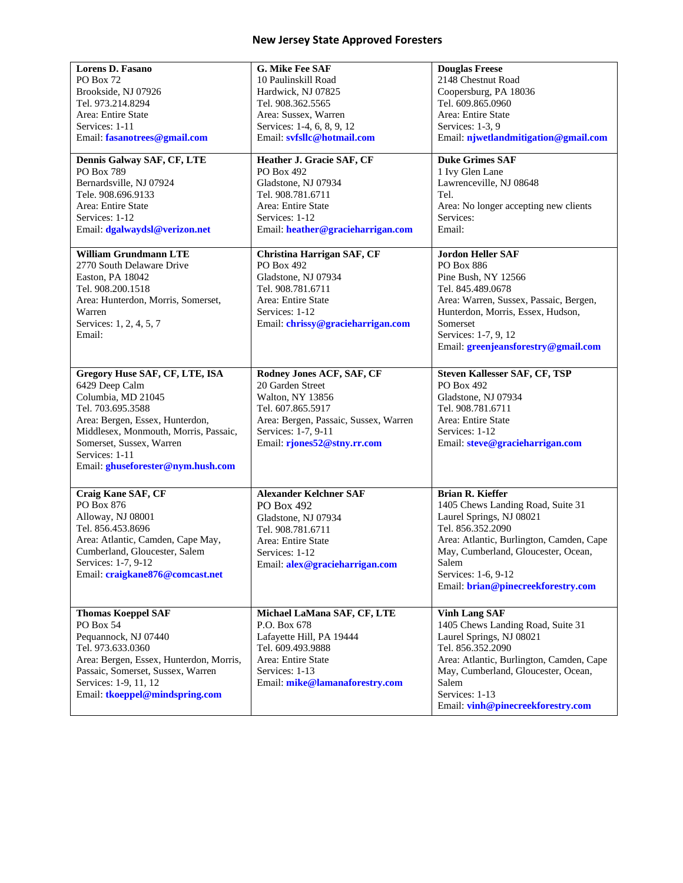| <b>Lorens D. Fasano</b>                 | G. Mike Fee SAF                       | <b>Douglas Freese</b>                    |
|-----------------------------------------|---------------------------------------|------------------------------------------|
| PO Box 72                               | 10 Paulinskill Road                   | 2148 Chestnut Road                       |
| Brookside, NJ 07926                     | Hardwick, NJ 07825                    | Coopersburg, PA 18036                    |
| Tel. 973.214.8294                       | Tel. 908.362.5565                     | Tel. 609.865.0960                        |
| Area: Entire State                      | Area: Sussex, Warren                  | Area: Entire State                       |
| Services: 1-11                          | Services: 1-4, 6, 8, 9, 12            | Services: 1-3, 9                         |
| Email: fasanotrees@gmail.com            | Email: svfsllc@hotmail.com            | Email: njwetlandmitigation@gmail.com     |
|                                         |                                       |                                          |
| Dennis Galway SAF, CF, LTE              | Heather J. Gracie SAF, CF             | <b>Duke Grimes SAF</b>                   |
| PO Box 789                              | PO Box 492                            | 1 Ivy Glen Lane                          |
| Bernardsville, NJ 07924                 | Gladstone, NJ 07934                   | Lawrenceville, NJ 08648                  |
|                                         |                                       | Tel.                                     |
| Tele. 908.696.9133                      | Tel. 908.781.6711                     |                                          |
| Area: Entire State                      | Area: Entire State                    | Area: No longer accepting new clients    |
| Services: 1-12                          | Services: 1-12                        | Services:                                |
| Email: dgalwaydsl@verizon.net           | Email: heather@gracieharrigan.com     | Email:                                   |
| <b>William Grundmann LTE</b>            | Christina Harrigan SAF, CF            | <b>Jordon Heller SAF</b>                 |
|                                         | PO Box 492                            | PO Box 886                               |
| 2770 South Delaware Drive               |                                       |                                          |
| Easton, PA 18042                        | Gladstone, NJ 07934                   | Pine Bush, NY 12566                      |
| Tel. 908.200.1518                       | Tel. 908.781.6711                     | Tel. 845.489.0678                        |
| Area: Hunterdon, Morris, Somerset,      | Area: Entire State                    | Area: Warren, Sussex, Passaic, Bergen,   |
| Warren                                  | Services: 1-12                        | Hunterdon, Morris, Essex, Hudson,        |
| Services: 1, 2, 4, 5, 7                 | Email: chrissy@gracieharrigan.com     | Somerset                                 |
| Email:                                  |                                       | Services: 1-7, 9, 12                     |
|                                         |                                       | Email: greenjeansforestry@gmail.com      |
|                                         |                                       |                                          |
| Gregory Huse SAF, CF, LTE, ISA          | Rodney Jones ACF, SAF, CF             | <b>Steven Kallesser SAF, CF, TSP</b>     |
|                                         | 20 Garden Street                      | PO Box 492                               |
| 6429 Deep Calm                          |                                       |                                          |
| Columbia, MD 21045                      | Walton, NY 13856                      | Gladstone, NJ 07934                      |
| Tel. 703.695.3588                       | Tel. 607.865.5917                     | Tel. 908.781.6711                        |
| Area: Bergen, Essex, Hunterdon,         | Area: Bergen, Passaic, Sussex, Warren | Area: Entire State                       |
| Middlesex, Monmouth, Morris, Passaic,   | Services: 1-7, 9-11                   | Services: 1-12                           |
| Somerset, Sussex, Warren                | Email: rjones52@stny.rr.com           | Email: steve@gracieharrigan.com          |
| Services: 1-11                          |                                       |                                          |
| Email: ghuseforester@nym.hush.com       |                                       |                                          |
|                                         |                                       |                                          |
| Craig Kane SAF, CF                      | <b>Alexander Kelchner SAF</b>         | <b>Brian R. Kieffer</b>                  |
| PO Box 876                              | PO Box 492                            | 1405 Chews Landing Road, Suite 31        |
|                                         |                                       | Laurel Springs, NJ 08021                 |
| Alloway, NJ 08001                       | Gladstone, NJ 07934                   |                                          |
| Tel. 856.453.8696                       | Tel. 908.781.6711                     | Tel. 856.352.2090                        |
| Area: Atlantic, Camden, Cape May,       | Area: Entire State                    | Area: Atlantic, Burlington, Camden, Cape |
| Cumberland, Gloucester, Salem           | Services: 1-12                        | May, Cumberland, Gloucester, Ocean,      |
| Services: 1-7, 9-12                     | Email: alex@gracieharrigan.com        | Salem                                    |
| Email: craigkane876@comcast.net         |                                       | Services: 1-6, 9-12                      |
|                                         |                                       | Email: brian@pinecreekforestry.com       |
|                                         |                                       |                                          |
| <b>Thomas Koeppel SAF</b>               | Michael LaMana SAF, CF, LTE           | <b>Vinh Lang SAF</b>                     |
| PO Box 54                               | P.O. Box 678                          | 1405 Chews Landing Road, Suite 31        |
| Pequannock, NJ 07440                    | Lafayette Hill, PA 19444              | Laurel Springs, NJ 08021                 |
| Tel. 973.633.0360                       | Tel. 609.493.9888                     | Tel. 856.352.2090                        |
|                                         | Area: Entire State                    |                                          |
| Area: Bergen, Essex, Hunterdon, Morris, |                                       | Area: Atlantic, Burlington, Camden, Cape |
| Passaic, Somerset, Sussex, Warren       | Services: 1-13                        | May, Cumberland, Gloucester, Ocean,      |
| Services: 1-9, 11, 12                   | Email: mike@lamanaforestry.com        | Salem                                    |
| Email: tkoeppel@mindspring.com          |                                       | Services: 1-13                           |
|                                         |                                       | Email: vinh@pinecreekforestry.com        |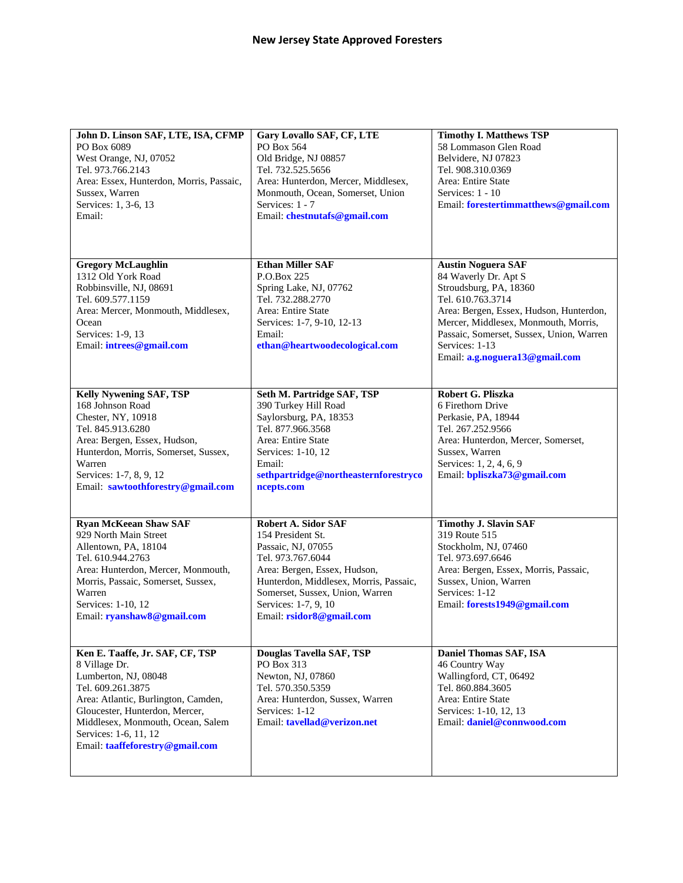| John D. Linson SAF, LTE, ISA, CFMP<br>PO Box 6089<br>West Orange, NJ, 07052<br>Tel. 973.766.2143<br>Area: Essex, Hunterdon, Morris, Passaic,<br>Sussex, Warren<br>Services: 1, 3-6, 13<br>Email:                                                                        | Gary Lovallo SAF, CF, LTE<br>PO Box 564<br>Old Bridge, NJ 08857<br>Tel. 732.525.5656<br>Area: Hunterdon, Mercer, Middlesex,<br>Monmouth, Ocean, Somerset, Union<br>Services: 1 - 7<br>Email: chestnutafs@gmail.com                                   | <b>Timothy I. Matthews TSP</b><br>58 Lommason Glen Road<br>Belvidere, NJ 07823<br>Tel. 908.310.0369<br>Area: Entire State<br>Services: 1 - 10<br>Email: forestertimmatthews@gmail.com                                                                                               |
|-------------------------------------------------------------------------------------------------------------------------------------------------------------------------------------------------------------------------------------------------------------------------|------------------------------------------------------------------------------------------------------------------------------------------------------------------------------------------------------------------------------------------------------|-------------------------------------------------------------------------------------------------------------------------------------------------------------------------------------------------------------------------------------------------------------------------------------|
| <b>Gregory McLaughlin</b><br>1312 Old York Road<br>Robbinsville, NJ, 08691<br>Tel. 609.577.1159<br>Area: Mercer, Monmouth, Middlesex,<br>Ocean<br>Services: 1-9, 13<br>Email: intrees@gmail.com                                                                         | <b>Ethan Miller SAF</b><br>P.O.Box 225<br>Spring Lake, NJ, 07762<br>Tel. 732.288.2770<br>Area: Entire State<br>Services: 1-7, 9-10, 12-13<br>Email:<br>ethan@heartwoodecological.com                                                                 | <b>Austin Noguera SAF</b><br>84 Waverly Dr. Apt S<br>Stroudsburg, PA, 18360<br>Tel. 610.763.3714<br>Area: Bergen, Essex, Hudson, Hunterdon,<br>Mercer, Middlesex, Monmouth, Morris,<br>Passaic, Somerset, Sussex, Union, Warren<br>Services: 1-13<br>Email: a.g.noguera13@gmail.com |
| <b>Kelly Nywening SAF, TSP</b><br>168 Johnson Road<br>Chester, NY, 10918<br>Tel. 845.913.6280<br>Area: Bergen, Essex, Hudson,<br>Hunterdon, Morris, Somerset, Sussex,<br>Warren<br>Services: 1-7, 8, 9, 12<br>Email: sawtoothforestry@gmail.com                         | Seth M. Partridge SAF, TSP<br>390 Turkey Hill Road<br>Saylorsburg, PA, 18353<br>Tel. 877.966.3568<br>Area: Entire State<br>Services: 1-10, 12<br>Email:<br>sethpartridge@northeasternforestryco<br>ncepts.com                                        | Robert G. Pliszka<br>6 Firethorn Drive<br>Perkasie, PA, 18944<br>Tel. 267.252.9566<br>Area: Hunterdon, Mercer, Somerset,<br>Sussex, Warren<br>Services: 1, 2, 4, 6, 9<br>Email: bpliszka73@gmail.com                                                                                |
| <b>Ryan McKeean Shaw SAF</b><br>929 North Main Street<br>Allentown, PA, 18104<br>Tel. 610.944.2763<br>Area: Hunterdon, Mercer, Monmouth,<br>Morris, Passaic, Somerset, Sussex,<br>Warren<br>Services: 1-10, 12<br>Email: ryanshaw8@gmail.com                            | Robert A. Sidor SAF<br>154 President St.<br>Passaic, NJ, 07055<br>Tel. 973.767.6044<br>Area: Bergen, Essex, Hudson,<br>Hunterdon, Middlesex, Morris, Passaic,<br>Somerset, Sussex, Union, Warren<br>Services: 1-7, 9, 10<br>Email: rsidor8@gmail.com | <b>Timothy J. Slavin SAF</b><br>319 Route 515<br>Stockholm, NJ, 07460<br>Tel. 973.697.6646<br>Area: Bergen, Essex, Morris, Passaic,<br>Sussex, Union, Warren<br>Services: 1-12<br>Email: forests1949@gmail.com                                                                      |
| Ken E. Taaffe, Jr. SAF, CF, TSP<br>8 Village Dr.<br>Lumberton, NJ, 08048<br>Tel. 609.261.3875<br>Area: Atlantic, Burlington, Camden,<br>Gloucester, Hunterdon, Mercer,<br>Middlesex, Monmouth, Ocean, Salem<br>Services: 1-6, 11, 12<br>Email: taaffeforestry@gmail.com | Douglas Tavella SAF, TSP<br>PO Box 313<br>Newton, NJ, 07860<br>Tel. 570.350.5359<br>Area: Hunterdon, Sussex, Warren<br>Services: 1-12<br>Email: tavellad@verizon.net                                                                                 | Daniel Thomas SAF, ISA<br>46 Country Way<br>Wallingford, CT, 06492<br>Tel. 860.884.3605<br>Area: Entire State<br>Services: 1-10, 12, 13<br>Email: daniel@connwood.com                                                                                                               |